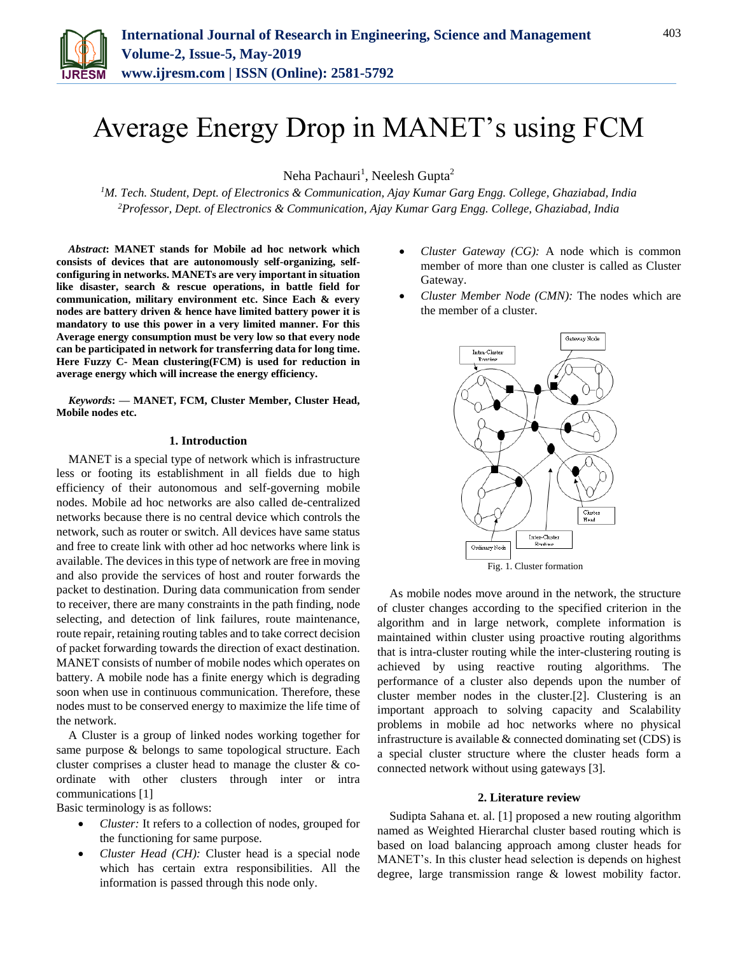

# Average Energy Drop in MANET's using FCM

Neha Pachauri<sup>1</sup>, Neelesh Gupta<sup>2</sup>

*<sup>1</sup>M. Tech. Student, Dept. of Electronics & Communication, Ajay Kumar Garg Engg. College, Ghaziabad, India 2Professor, Dept. of Electronics & Communication, Ajay Kumar Garg Engg. College, Ghaziabad, India*

*Abstract***: MANET stands for Mobile ad hoc network which consists of devices that are autonomously self-organizing, selfconfiguring in networks. MANETs are very important in situation like disaster, search & rescue operations, in battle field for communication, military environment etc. Since Each & every nodes are battery driven & hence have limited battery power it is mandatory to use this power in a very limited manner. For this Average energy consumption must be very low so that every node can be participated in network for transferring data for long time. Here Fuzzy C- Mean clustering(FCM) is used for reduction in average energy which will increase the energy efficiency.** 

*Keywords***: — MANET, FCM, Cluster Member, Cluster Head, Mobile nodes etc.**

#### **1. Introduction**

MANET is a special type of network which is infrastructure less or footing its establishment in all fields due to high efficiency of their autonomous and self-governing mobile nodes. Mobile ad hoc networks are also called de-centralized networks because there is no central device which controls the network, such as router or switch. All devices have same status and free to create link with other ad hoc networks where link is available. The devices in this type of network are free in moving and also provide the services of host and router forwards the packet to destination. During data communication from sender to receiver, there are many constraints in the path finding, node selecting, and detection of link failures, route maintenance, route repair, retaining routing tables and to take correct decision of packet forwarding towards the direction of exact destination. MANET consists of number of mobile nodes which operates on battery. A mobile node has a finite energy which is degrading soon when use in continuous communication. Therefore, these nodes must to be conserved energy to maximize the life time of the network.

A Cluster is a group of linked nodes working together for same purpose & belongs to same topological structure. Each cluster comprises a cluster head to manage the cluster & coordinate with other clusters through inter or intra communications [1]

Basic terminology is as follows:

- *Cluster:* It refers to a collection of nodes, grouped for the functioning for same purpose.
- *Cluster Head (CH):* Cluster head is a special node which has certain extra responsibilities. All the information is passed through this node only.
- *Cluster Gateway (CG):* A node which is common member of more than one cluster is called as Cluster Gateway.
- *Cluster Member Node (CMN):* The nodes which are the member of a cluster.



As mobile nodes move around in the network, the structure of cluster changes according to the specified criterion in the algorithm and in large network, complete information is maintained within cluster using proactive routing algorithms that is intra-cluster routing while the inter-clustering routing is achieved by using reactive routing algorithms. The performance of a cluster also depends upon the number of cluster member nodes in the cluster.[2]. Clustering is an important approach to solving capacity and Scalability problems in mobile ad hoc networks where no physical infrastructure is available & connected dominating set (CDS) is a special cluster structure where the cluster heads form a connected network without using gateways [3].

#### **2. Literature review**

Sudipta Sahana et. al. [1] proposed a new routing algorithm named as Weighted Hierarchal cluster based routing which is based on load balancing approach among cluster heads for MANET's. In this cluster head selection is depends on highest degree, large transmission range & lowest mobility factor.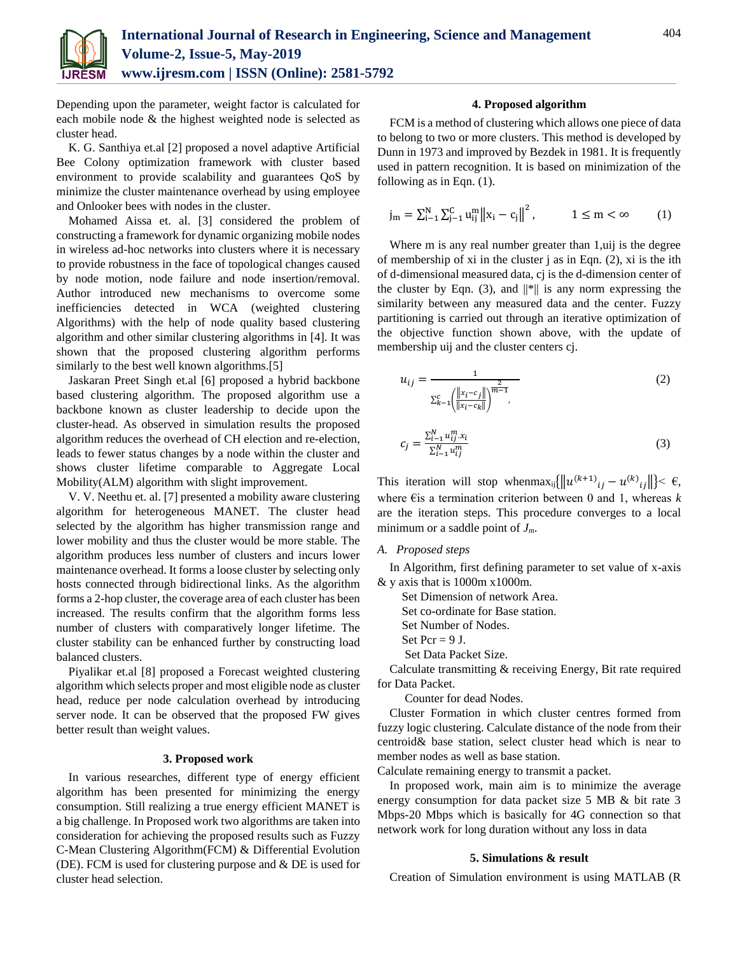

Depending upon the parameter, weight factor is calculated for each mobile node & the highest weighted node is selected as cluster head.

K. G. Santhiya et.al [2] proposed a novel adaptive Artificial Bee Colony optimization framework with cluster based environment to provide scalability and guarantees QoS by minimize the cluster maintenance overhead by using employee and Onlooker bees with nodes in the cluster.

Mohamed Aissa et. al. [3] considered the problem of constructing a framework for dynamic organizing mobile nodes in wireless ad-hoc networks into clusters where it is necessary to provide robustness in the face of topological changes caused by node motion, node failure and node insertion/removal. Author introduced new mechanisms to overcome some inefficiencies detected in WCA (weighted clustering Algorithms) with the help of node quality based clustering algorithm and other similar clustering algorithms in [4]. It was shown that the proposed clustering algorithm performs similarly to the best well known algorithms.<sup>[5]</sup>

Jaskaran Preet Singh et.al [6] proposed a hybrid backbone based clustering algorithm. The proposed algorithm use a backbone known as cluster leadership to decide upon the cluster-head. As observed in simulation results the proposed algorithm reduces the overhead of CH election and re-election, leads to fewer status changes by a node within the cluster and shows cluster lifetime comparable to Aggregate Local Mobility(ALM) algorithm with slight improvement.

V. V. Neethu et. al. [7] presented a mobility aware clustering algorithm for heterogeneous MANET. The cluster head selected by the algorithm has higher transmission range and lower mobility and thus the cluster would be more stable. The algorithm produces less number of clusters and incurs lower maintenance overhead. It forms a loose cluster by selecting only hosts connected through bidirectional links. As the algorithm forms a 2-hop cluster, the coverage area of each cluster has been increased. The results confirm that the algorithm forms less number of clusters with comparatively longer lifetime. The cluster stability can be enhanced further by constructing load balanced clusters.

Piyalikar et.al [8] proposed a Forecast weighted clustering algorithm which selects proper and most eligible node as cluster head, reduce per node calculation overhead by introducing server node. It can be observed that the proposed FW gives better result than weight values.

## **3. Proposed work**

In various researches, different type of energy efficient algorithm has been presented for minimizing the energy consumption. Still realizing a true energy efficient MANET is a big challenge. In Proposed work two algorithms are taken into consideration for achieving the proposed results such as Fuzzy C-Mean Clustering Algorithm(FCM) & Differential Evolution (DE). FCM is used for clustering purpose and & DE is used for cluster head selection.

### **4. Proposed algorithm**

FCM is a method of clustering which allows one piece of data to belong to two or more clusters. This method is developed by Dunn in 1973 and improved by Bezdek in 1981. It is frequently used in pattern recognition. It is based on minimization of the following as in Eqn. (1).

$$
j_m = \sum_{i=1}^N \sum_{j=1}^C u_{ij}^m \|x_i - c_j\|^2, \qquad \quad 1 \leq m < \infty \qquad \quad (1)
$$

Where m is any real number greater than 1, uij is the degree of membership of xi in the cluster j as in Eqn. (2), xi is the ith of d-dimensional measured data, cj is the d-dimension center of the cluster by Eqn. (3), and  $\|\cdot\|$  is any norm expressing the similarity between any measured data and the center. Fuzzy partitioning is carried out through an iterative optimization of the objective function shown above, with the update of membership uij and the cluster centers cj.

$$
u_{ij} = \frac{1}{\sum_{k=1}^{c} \left( \frac{\|x_i - c_j\|}{\|x_i - c_k\|} \right)^{\frac{2}{m-1}}},\tag{2}
$$

$$
c_j = \frac{\sum_{i=1}^{N} u_{ij}^m x_i}{\sum_{i=1}^{N} u_{ij}^m}
$$

This iteration will stop whenmax<sub>ij</sub> $\left\{ \|u^{(k+1)}_{ij} - u^{(k)}_{ij}\| \right\} < \epsilon$ , where €is a termination criterion between 0 and 1, whereas *k* are the iteration steps. This procedure converges to a local minimum or a saddle point of *Jm*.

#### *A. Proposed steps*

In Algorithm, first defining parameter to set value of x-axis & y axis that is 1000m x1000m.

Set Dimension of network Area.

Set co-ordinate for Base station.

Set Number of Nodes.

- Set  $Per = 9$  J.
- Set Data Packet Size.

Calculate transmitting & receiving Energy, Bit rate required for Data Packet.

Counter for dead Nodes.

Cluster Formation in which cluster centres formed from fuzzy logic clustering. Calculate distance of the node from their centroid& base station, select cluster head which is near to member nodes as well as base station.

Calculate remaining energy to transmit a packet.

In proposed work, main aim is to minimize the average energy consumption for data packet size 5 MB & bit rate 3 Mbps-20 Mbps which is basically for 4G connection so that network work for long duration without any loss in data

#### **5. Simulations & result**

Creation of Simulation environment is using MATLAB (R